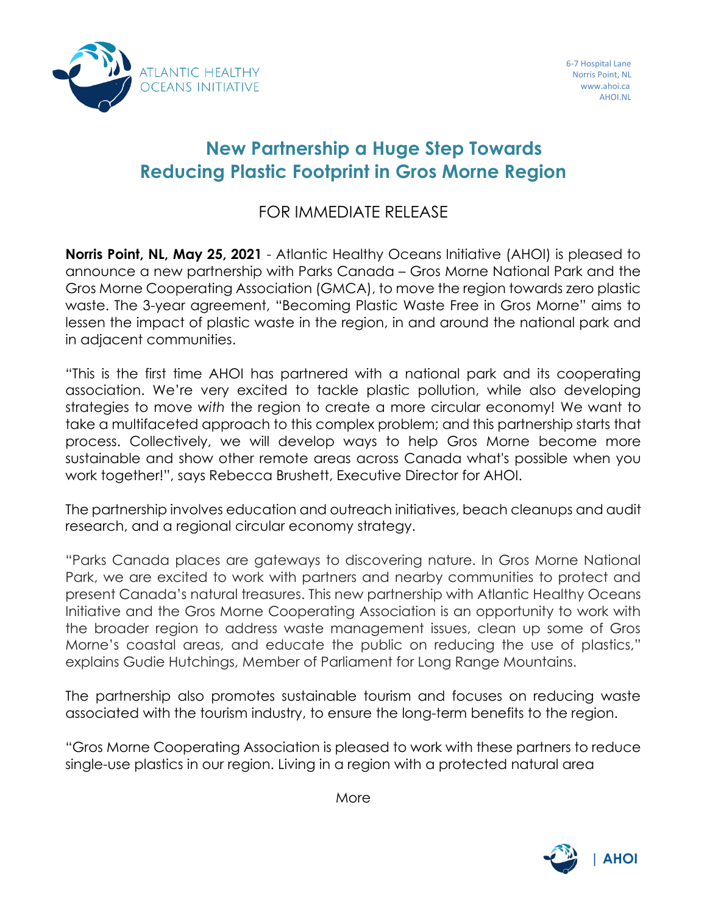

## **New Partnership a Huge Step Towards Reducing Plastic Footprint in Gros Morne Region**

## FOR IMMEDIATE RELEASE

**Norris Point, NL, May 25, 2021** - Atlantic Healthy Oceans Initiative (AHOI) is pleased to announce a new partnership with Parks Canada – Gros Morne National Park and the Gros Morne Cooperating Association (GMCA), to move the region towards zero plastic waste. The 3-year agreement, "Becoming Plastic Waste Free in Gros Morne" aims to lessen the impact of plastic waste in the region, in and around the national park and in adjacent communities.

"This is the first time AHOI has partnered with a national park and its cooperating association. We're very excited to tackle plastic pollution, while also developing strategies to move *with* the region to create a more circular economy! We want to take a multifaceted approach to this complex problem; and this partnership starts that process. Collectively, we will develop ways to help Gros Morne become more sustainable and show other remote areas across Canada what's possible when you work together!", says Rebecca Brushett, Executive Director for AHOI.

The partnership involves education and outreach initiatives, beach cleanups and audit research, and a regional circular economy strategy.

"Parks Canada places are gateways to discovering nature. In Gros Morne National Park, we are excited to work with partners and nearby communities to protect and present Canada's natural treasures. This new partnership with Atlantic Healthy Oceans Initiative and the Gros Morne Cooperating Association is an opportunity to work with the broader region to address waste management issues, clean up some of Gros Morne's coastal areas, and educate the public on reducing the use of plastics," explains Gudie Hutchings, Member of Parliament for Long Range Mountains.

The partnership also promotes sustainable tourism and focuses on reducing waste associated with the tourism industry, to ensure the long-term benefits to the region.

"Gros Morne Cooperating Association is pleased to work with these partners to reduce single-use plastics in our region. Living in a region with a protected natural area

More